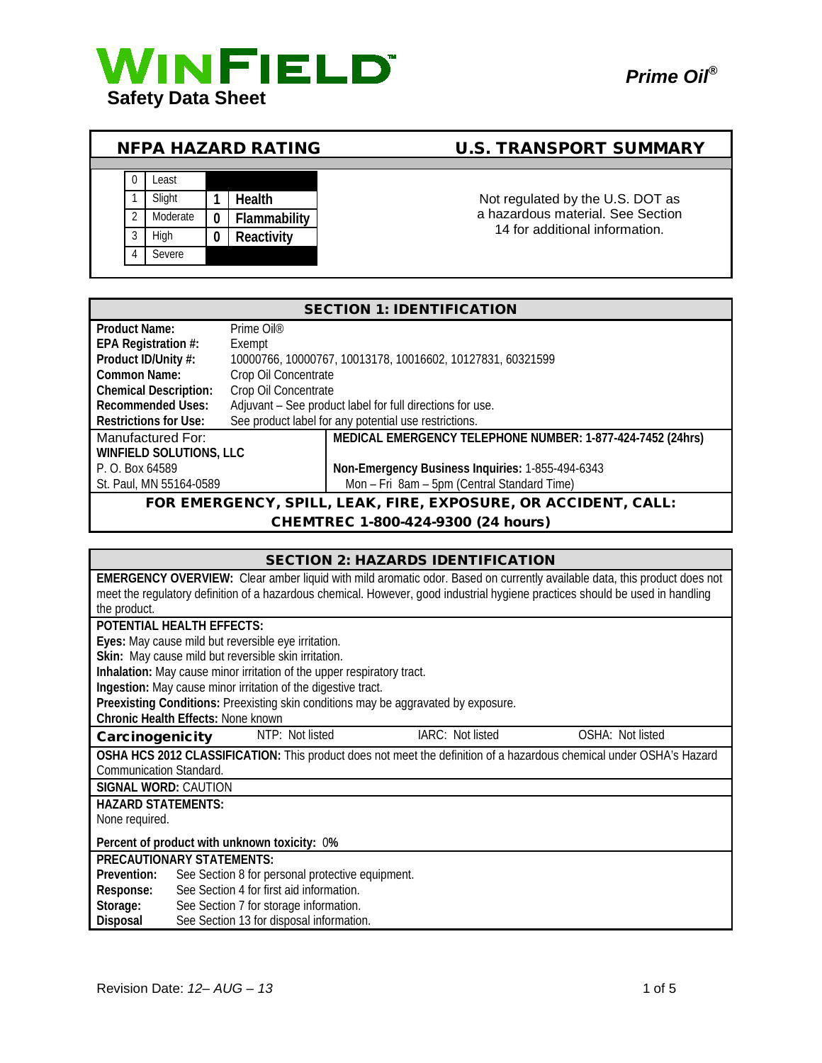

# NFPA HAZARD RATING U.S. TRANSPORT SUMMARY



Not regulated by the U.S. DOT as a hazardous material. See Section 14 for additional information.

| <b>SECTION 1: IDENTIFICATION</b>                               |                        |                                                            |
|----------------------------------------------------------------|------------------------|------------------------------------------------------------|
| <b>Product Name:</b>                                           | Prime Oil <sup>®</sup> |                                                            |
| EPA Registration #:                                            | Exempt                 |                                                            |
| Product ID/Unity #:                                            |                        | 10000766, 10000767, 10013178, 10016602, 10127831, 60321599 |
| Common Name:                                                   | Crop Oil Concentrate   |                                                            |
| <b>Chemical Description:</b>                                   | Crop Oil Concentrate   |                                                            |
| <b>Recommended Uses:</b>                                       |                        | Adjuvant - See product label for full directions for use.  |
| Restrictions for Use:                                          |                        | See product label for any potential use restrictions.      |
| Manufactured For:                                              |                        | MEDICAL EMERGENCY TELEPHONE NUMBER: 1-877-424-7452 (24hrs) |
| <b>WINFIELD SOLUTIONS, LLC</b>                                 |                        |                                                            |
| P. O. Box 64589                                                |                        | Non-Emergency Business Inquiries: 1-855-494-6343           |
| St. Paul, MN 55164-0589                                        |                        | Mon - Fri 8am - 5pm (Central Standard Time)                |
| FOR EMERGENCY, SPILL, LEAK, FIRE, EXPOSURE, OR ACCIDENT, CALL: |                        |                                                            |

#### CHEMTREC 1-800-424-9300 (24 hours)

| <b>SECTION 2: HAZARDS IDENTIFICATION</b>                                                                                      |  |  |
|-------------------------------------------------------------------------------------------------------------------------------|--|--|
| EMERGENCY OVERVIEW: Clear amber liquid with mild aromatic odor. Based on currently available data, this product does not      |  |  |
| meet the regulatory definition of a hazardous chemical. However, good industrial hygiene practices should be used in handling |  |  |
| the product.                                                                                                                  |  |  |
| POTENTIAL HEALTH EFFECTS:                                                                                                     |  |  |
| Eyes: May cause mild but reversible eye irritation.                                                                           |  |  |
| Skin: May cause mild but reversible skin irritation.                                                                          |  |  |
| Inhalation: May cause minor irritation of the upper respiratory tract.                                                        |  |  |
| Ingestion: May cause minor irritation of the digestive tract.                                                                 |  |  |
| Preexisting Conditions: Preexisting skin conditions may be aggravated by exposure.                                            |  |  |
| <b>Chronic Health Effects: None known</b>                                                                                     |  |  |
| IARC: Not listed<br>NTP: Not listed<br>OSHA: Not listed<br>Carcinogenicity                                                    |  |  |
| OSHA HCS 2012 CLASSIFICATION: This product does not meet the definition of a hazardous chemical under OSHA's Hazard           |  |  |
| Communication Standard.                                                                                                       |  |  |
| <b>SIGNAL WORD: CAUTION</b>                                                                                                   |  |  |
| <b>HAZARD STATEMENTS:</b>                                                                                                     |  |  |
| None required.                                                                                                                |  |  |
| Percent of product with unknown toxicity: 0%                                                                                  |  |  |
| <b>PRECAUTIONARY STATEMENTS:</b>                                                                                              |  |  |
| Prevention:<br>See Section 8 for personal protective equipment.                                                               |  |  |
| See Section 4 for first aid information.<br>Response:                                                                         |  |  |
| See Section 7 for storage information.<br>Storage:                                                                            |  |  |
| See Section 13 for disposal information.<br>Disposal                                                                          |  |  |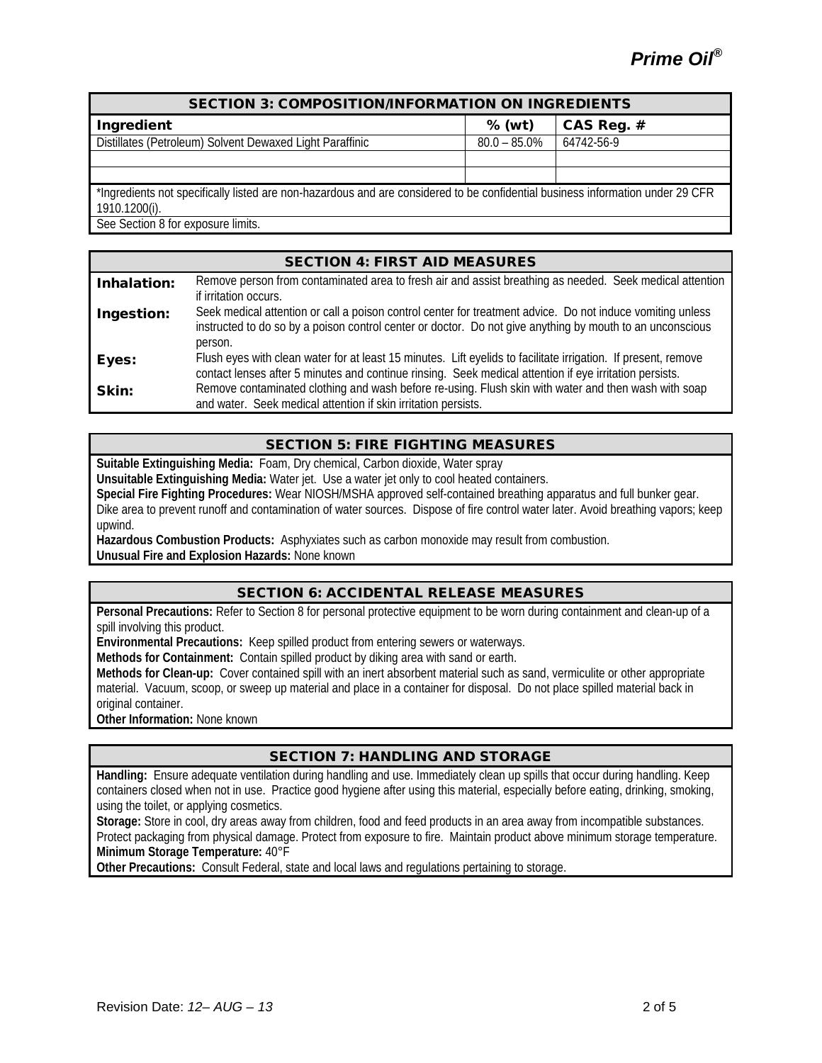| <b>SECTION 3: COMPOSITION/INFORMATION ON INGREDIENTS</b>                                                                       |                 |              |
|--------------------------------------------------------------------------------------------------------------------------------|-----------------|--------------|
| Ingredient                                                                                                                     | $%$ (wt)        | CAS Reg. $#$ |
| Distillates (Petroleum) Solvent Dewaxed Light Paraffinic                                                                       | $80.0 - 85.0\%$ | 64742-56-9   |
|                                                                                                                                |                 |              |
|                                                                                                                                |                 |              |
| *Ingredients not specifically listed are non-hazardous and are considered to be confidential business information under 29 CFR |                 |              |
| 1910.1200(i).                                                                                                                  |                 |              |
| See Section 8 for exposure limits.                                                                                             |                 |              |

|             | <b>SECTION 4: FIRST AID MEASURES</b>                                                                                                                                                                                                             |
|-------------|--------------------------------------------------------------------------------------------------------------------------------------------------------------------------------------------------------------------------------------------------|
| Inhalation: | Remove person from contaminated area to fresh air and assist breathing as needed. Seek medical attention                                                                                                                                         |
| Ingestion:  | if irritation occurs.<br>Seek medical attention or call a poison control center for treatment advice. Do not induce vomiting unless<br>instructed to do so by a poison control center or doctor. Do not give anything by mouth to an unconscious |
|             | person.                                                                                                                                                                                                                                          |
| Eyes:       | Flush eyes with clean water for at least 15 minutes. Lift eyelids to facilitate irrigation. If present, remove<br>contact lenses after 5 minutes and continue rinsing. Seek medical attention if eye irritation persists.                        |
| Skin:       | Remove contaminated clothing and wash before re-using. Flush skin with water and then wash with soap<br>and water. Seek medical attention if skin irritation persists.                                                                           |

## SECTION 5: FIRE FIGHTING MEASURES

**Suitable Extinguishing Media:** Foam, Dry chemical, Carbon dioxide, Water spray

**Unsuitable Extinguishing Media:** Water jet. Use a water jet only to cool heated containers.

**Special Fire Fighting Procedures:** Wear NIOSH/MSHA approved self-contained breathing apparatus and full bunker gear.

Dike area to prevent runoff and contamination of water sources. Dispose of fire control water later. Avoid breathing vapors; keep upwind.

**Hazardous Combustion Products:** Asphyxiates such as carbon monoxide may result from combustion.

**Unusual Fire and Explosion Hazards:** None known

## SECTION 6: ACCIDENTAL RELEASE MEASURES

**Personal Precautions:** Refer to Section 8 for personal protective equipment to be worn during containment and clean-up of a spill involving this product.

**Environmental Precautions:** Keep spilled product from entering sewers or waterways.

**Methods for Containment:** Contain spilled product by diking area with sand or earth.

**Methods for Clean-up:** Cover contained spill with an inert absorbent material such as sand, vermiculite or other appropriate material. Vacuum, scoop, or sweep up material and place in a container for disposal. Do not place spilled material back in original container.

**Other Information:** None known

## SECTION 7: HANDLING AND STORAGE

**Handling:** Ensure adequate ventilation during handling and use. Immediately clean up spills that occur during handling. Keep containers closed when not in use. Practice good hygiene after using this material, especially before eating, drinking, smoking, using the toilet, or applying cosmetics.

**Storage:** Store in cool, dry areas away from children, food and feed products in an area away from incompatible substances. Protect packaging from physical damage. Protect from exposure to fire. Maintain product above minimum storage temperature.

**Minimum Storage Temperature:** 40°F

**Other Precautions:** Consult Federal, state and local laws and regulations pertaining to storage.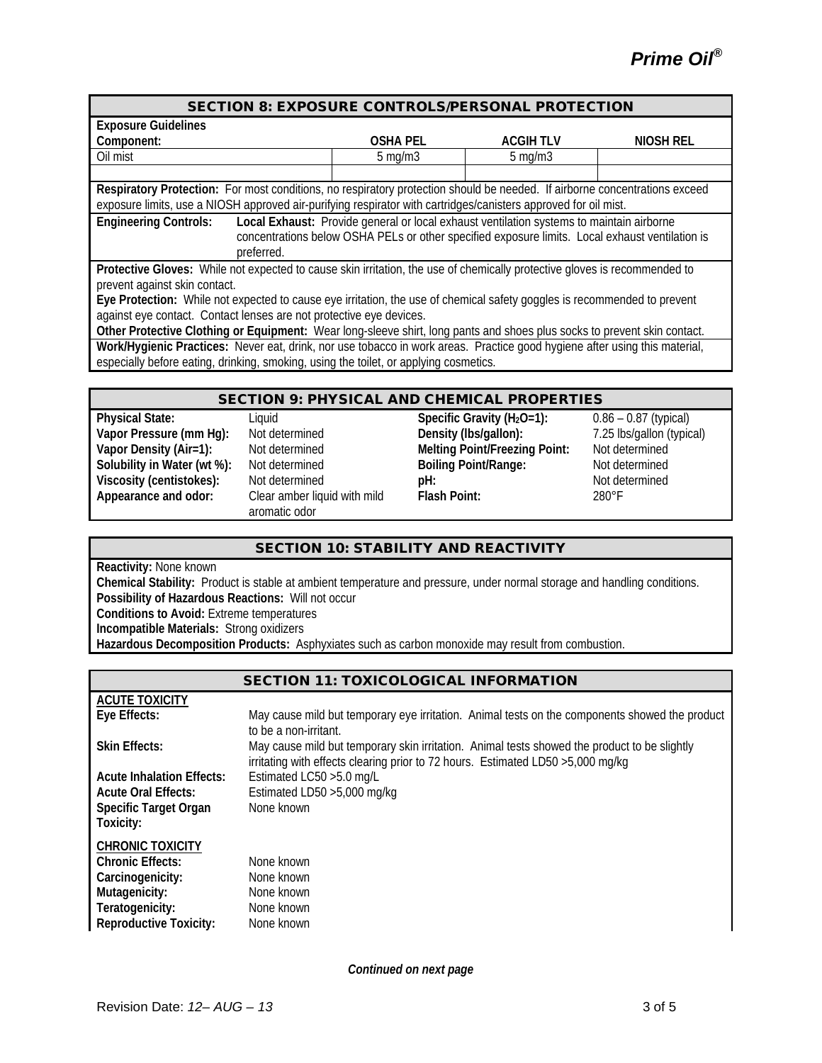| <b>SECTION 8: EXPOSURE CONTROLS/PERSONAL PROTECTION</b>                                                                                                                                                                                       |                  |                 |           |
|-----------------------------------------------------------------------------------------------------------------------------------------------------------------------------------------------------------------------------------------------|------------------|-----------------|-----------|
| <b>Exposure Guidelines</b>                                                                                                                                                                                                                    |                  |                 |           |
| Component:                                                                                                                                                                                                                                    | <b>OSHA PEL</b>  | <b>ACGIHTLV</b> | NIOSH REL |
| Oil mist                                                                                                                                                                                                                                      | $5 \text{ mg/m}$ | $5$ mg/m $3$    |           |
|                                                                                                                                                                                                                                               |                  |                 |           |
| Respiratory Protection: For most conditions, no respiratory protection should be needed. If airborne concentrations exceed<br>exposure limits, use a NIOSH approved air-purifying respirator with cartridges/canisters approved for oil mist. |                  |                 |           |
| <b>Engineering Controls:</b><br>Local Exhaust: Provide general or local exhaust ventilation systems to maintain airborne<br>concentrations below OSHA PELs or other specified exposure limits. Local exhaust ventilation is<br>preferred.     |                  |                 |           |
| Protective Gloves: While not expected to cause skin irritation, the use of chemically protective gloves is recommended to<br>prevent against skin contact.                                                                                    |                  |                 |           |
| Eye Protection: While not expected to cause eye irritation, the use of chemical safety goggles is recommended to prevent<br>against eye contact. Contact lenses are not protective eye devices.                                               |                  |                 |           |
| Other Protective Clothing or Equipment: Wear long-sleeve shirt, long pants and shoes plus socks to prevent skin contact                                                                                                                       |                  |                 |           |

**Other Protective Clothing or Equipment:** Wear long-sleeve shirt, long pants and shoes plus socks to prevent skin contact. **Work/Hygienic Practices:** Never eat, drink, nor use tobacco in work areas. Practice good hygiene after using this material, especially before eating, drinking, smoking, using the toilet, or applying cosmetics.

#### SECTION 9: PHYSICAL AND CHEMICAL PROPERTIES

**Appearance and odor:** Clear amber liquid with mild

aromatic odor

**Physical State:** Liquid **Specific Gravity (H2O=1):** 0.86 – 0.87 (typical) **Vapor Pressure (mm Hg):** Not determined **Density (lbs/gallon):** 7.25 lbs/gallon (typical) **Vapor Density (Air=1):** Not determined **Melting Point/Freezing Point:** Not determined **Solubility in Water (wt %):** Not determined<br> **Solubility in Water (wt %):** Not determined<br> **PH: Phenomical point/Range:** Not determined<br> **PH: Phenomical point/Range:** Not determined **Viscosity (centistokes):** Not determined **pH: Phenomena and pH:** Not determined **pH:** Not determined **pH:** 280°F **Flash Point:** 

## SECTION 10: STABILITY AND REACTIVITY

**Reactivity:** None known

**Chemical Stability:** Product is stable at ambient temperature and pressure, under normal storage and handling conditions. **Possibility of Hazardous Reactions:** Will not occur **Conditions to Avoid:** Extreme temperatures **Incompatible Materials:** Strong oxidizers **Hazardous Decomposition Products:** Asphyxiates such as carbon monoxide may result from combustion.

## SECTION 11: TOXICOLOGICAL INFORMATION

| <b>ACUTE TOXICITY</b>              |                                                                                                                                                                                  |
|------------------------------------|----------------------------------------------------------------------------------------------------------------------------------------------------------------------------------|
| Eye Effects:                       | May cause mild but temporary eye irritation. Animal tests on the components showed the product<br>to be a non-irritant.                                                          |
| <b>Skin Effects:</b>               | May cause mild but temporary skin irritation. Animal tests showed the product to be slightly<br>irritating with effects clearing prior to 72 hours. Estimated LD50 > 5,000 mg/kg |
| <b>Acute Inhalation Effects:</b>   | Estimated LC50 > 5.0 mg/L                                                                                                                                                        |
| <b>Acute Oral Effects:</b>         | Estimated LD50 > 5,000 mg/kg                                                                                                                                                     |
| Specific Target Organ<br>Toxicity: | None known                                                                                                                                                                       |
| <b>CHRONIC TOXICITY</b>            |                                                                                                                                                                                  |
| <b>Chronic Effects:</b>            | None known                                                                                                                                                                       |
| Carcinogenicity:                   | None known                                                                                                                                                                       |
| Mutagenicity:                      | None known                                                                                                                                                                       |
| Teratogenicity:                    | None known                                                                                                                                                                       |
| <b>Reproductive Toxicity:</b>      | None known                                                                                                                                                                       |

*Continued on next page*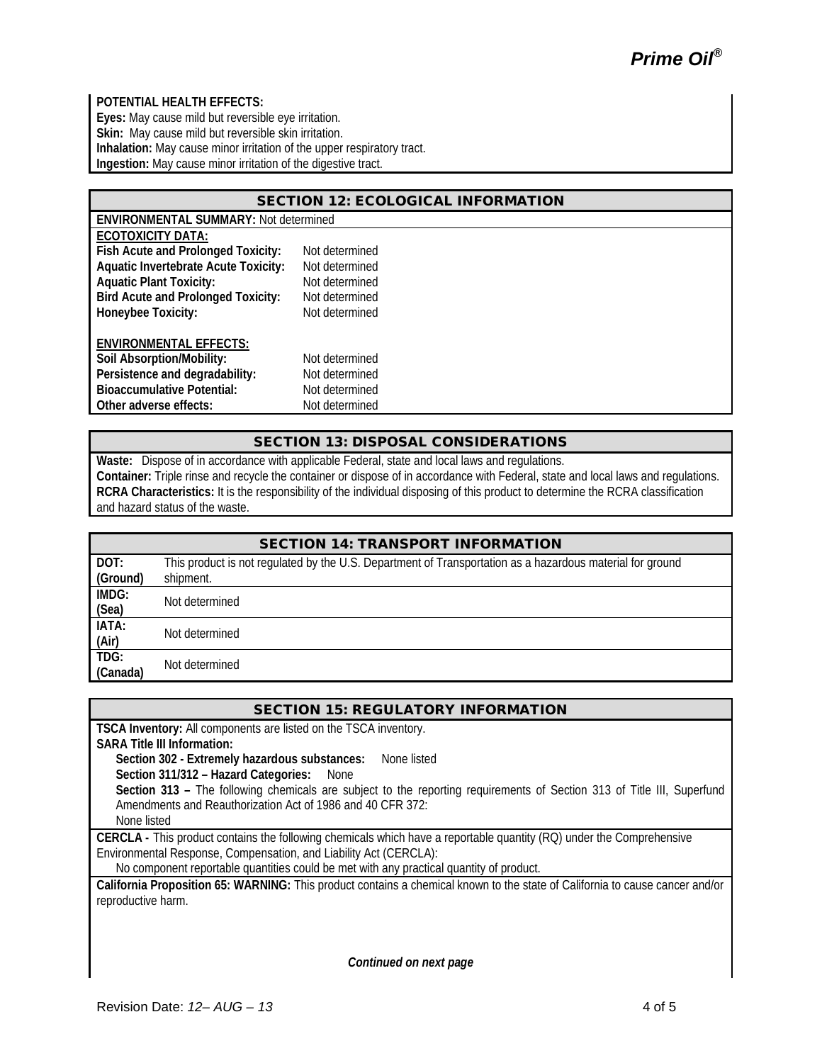## **POTENTIAL HEALTH EFFECTS:**

**Eyes:** May cause mild but reversible eye irritation. **Skin:** May cause mild but reversible skin irritation. **Inhalation:** May cause minor irritation of the upper respiratory tract. **Ingestion:** May cause minor irritation of the digestive tract.

| <b>SECTION 12: ECOLOGICAL INFORMATION</b>    |                |  |
|----------------------------------------------|----------------|--|
| <b>ENVIRONMENTAL SUMMARY: Not determined</b> |                |  |
| <b>ECOTOXICITY DATA:</b>                     |                |  |
| Fish Acute and Prolonged Toxicity:           | Not determined |  |
| <b>Aquatic Invertebrate Acute Toxicity:</b>  | Not determined |  |
| <b>Aquatic Plant Toxicity:</b>               | Not determined |  |
| <b>Bird Acute and Prolonged Toxicity:</b>    | Not determined |  |
| Honeybee Toxicity:                           | Not determined |  |
| <b>ENVIRONMENTAL EFFECTS:</b>                |                |  |
| Soil Absorption/Mobility:                    | Not determined |  |
| Persistence and degradability:               | Not determined |  |
| <b>Bioaccumulative Potential:</b>            | Not determined |  |
| Other adverse effects:                       | Not determined |  |

## SECTION 13: DISPOSAL CONSIDERATIONS

**Waste:** Dispose of in accordance with applicable Federal, state and local laws and regulations. **Container:** Triple rinse and recycle the container or dispose of in accordance with Federal, state and local laws and regulations. **RCRA Characteristics:** It is the responsibility of the individual disposing of this product to determine the RCRA classification and hazard status of the waste.

| <b>SECTION 14: TRANSPORT INFORMATION</b> |                                                                                                                        |  |
|------------------------------------------|------------------------------------------------------------------------------------------------------------------------|--|
| DOT:<br>(Ground)                         | This product is not regulated by the U.S. Department of Transportation as a hazardous material for ground<br>shipment. |  |
| IMDG:<br>(Sea)                           | Not determined                                                                                                         |  |
| IATA:<br>$\frac{(Air)}{TDG}$ :           | Not determined                                                                                                         |  |
| (Canada)                                 | Not determined                                                                                                         |  |

## SECTION 15: REGULATORY INFORMATION

**TSCA Inventory:** All components are listed on the TSCA inventory.

**SARA Title III Information:**

**Section 302 - Extremely hazardous substances:** None listed

**Section 311/312 – Hazard Categories:** None

**Section 313 –** The following chemicals are subject to the reporting requirements of Section 313 of Title III, Superfund Amendments and Reauthorization Act of 1986 and 40 CFR 372:

None listed

**CERCLA -** This product contains the following chemicals which have a reportable quantity (RQ) under the Comprehensive Environmental Response, Compensation, and Liability Act (CERCLA):

No component reportable quantities could be met with any practical quantity of product.

**California Proposition 65: WARNING:** This product contains a chemical known to the state of California to cause cancer and/or reproductive harm.

*Continued on next page*